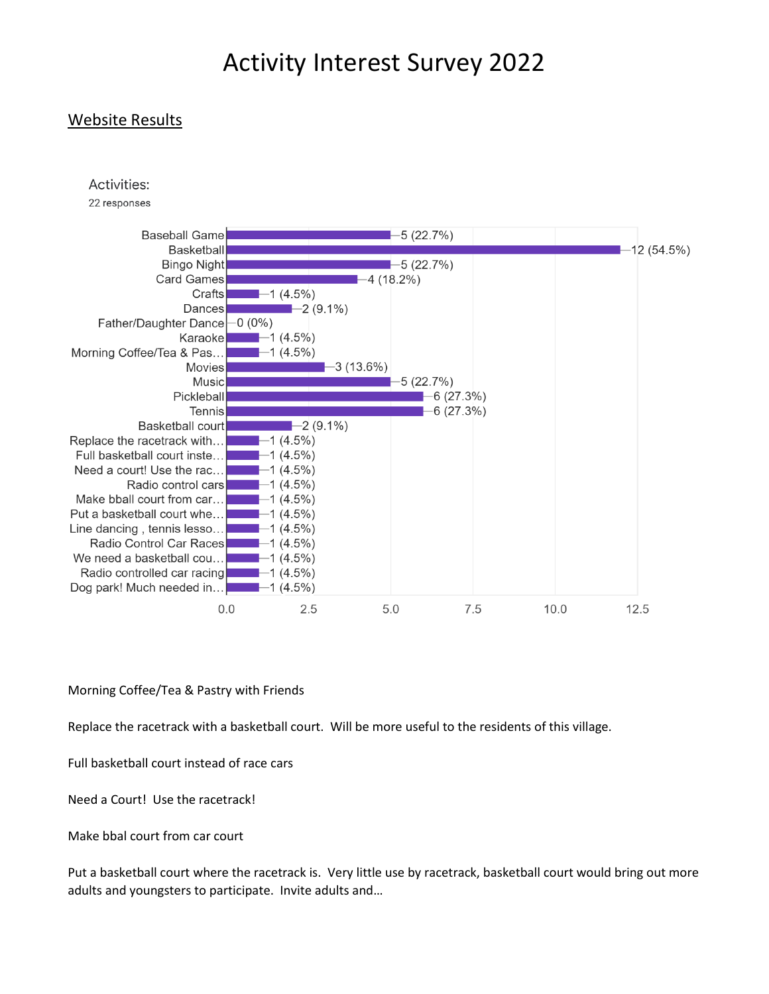### Website Results



22 responses



Morning Coffee/Tea & Pastry with Friends

Replace the racetrack with a basketball court. Will be more useful to the residents of this village.

Full basketball court instead of race cars

Need a Court! Use the racetrack!

Make bbal court from car court

Put a basketball court where the racetrack is. Very little use by racetrack, basketball court would bring out more adults and youngsters to participate. Invite adults and…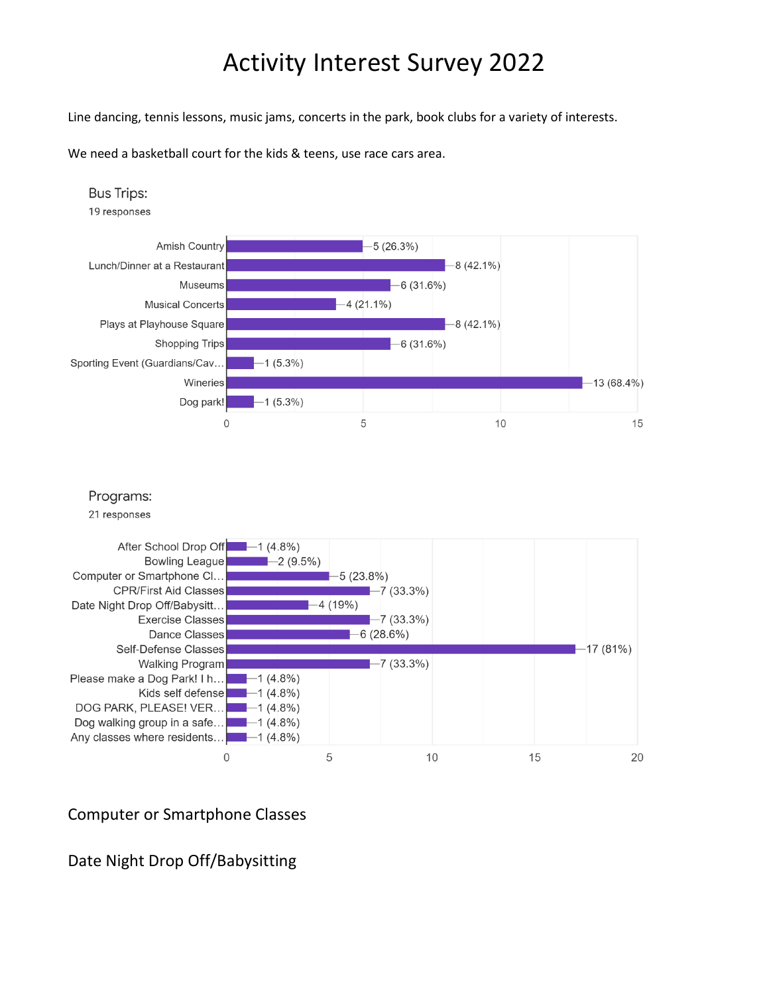Line dancing, tennis lessons, music jams, concerts in the park, book clubs for a variety of interests.

We need a basketball court for the kids & teens, use race cars area.



#### Computer or Smartphone Classes

## Date Night Drop Off/Babysitting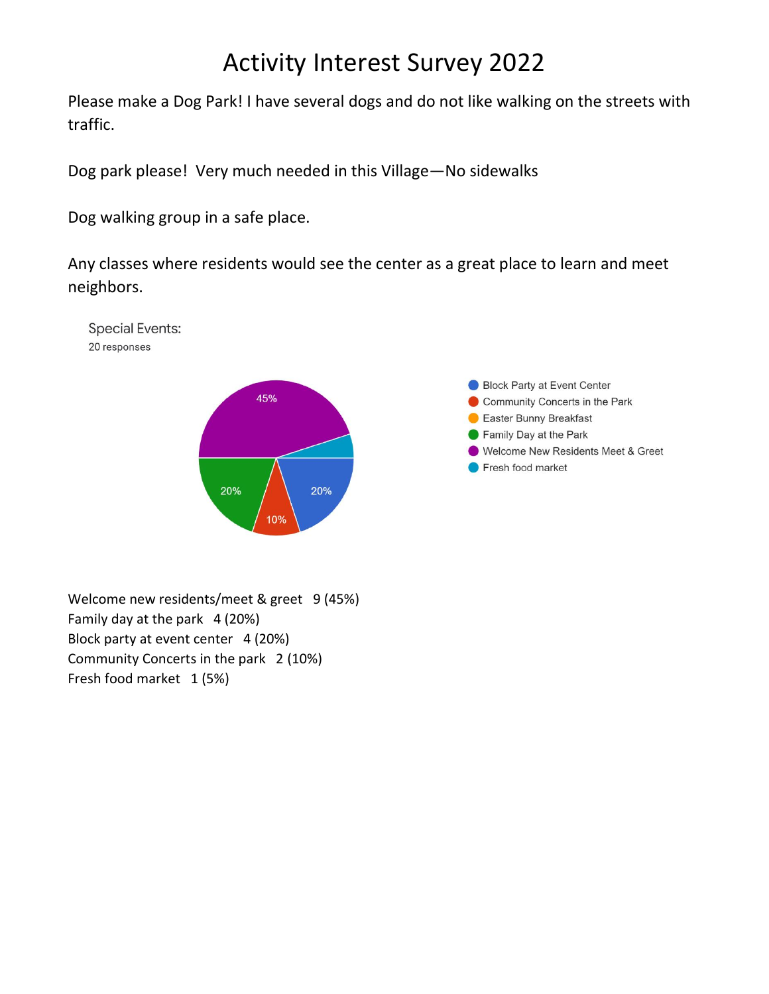Please make a Dog Park! I have several dogs and do not like walking on the streets with traffic.

Dog park please! Very much needed in this Village—No sidewalks

Dog walking group in a safe place.

**Special Events:** 20 responses

Any classes where residents would see the center as a great place to learn and meet neighbors.





Welcome new residents/meet & greet 9 (45%) Family day at the park 4 (20%) Block party at event center 4 (20%) Community Concerts in the park 2 (10%) Fresh food market 1 (5%)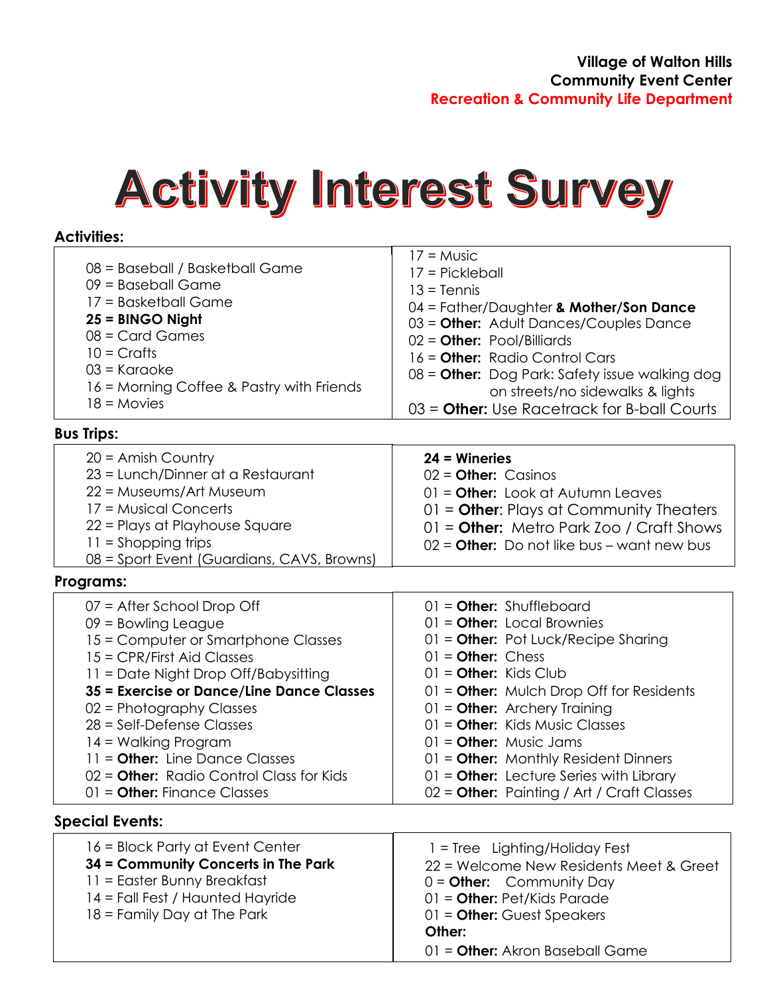#### **Activities:**

| 08 = Baseball / Basketball Game<br>$09$ = Baseball Game<br>17 = Basketball Game<br>$25 =$ BINGO Night<br>$08 =$ Card Games<br>$10 = Craths$<br>$03$ = Karaoke<br>16 = Morning Coffee & Pastry with Friends<br>$18 =$ Movies                                                                                                                                                                                         | $17 =$ Music<br>17 = Pickleball<br>$13 =$ Tennis<br>04 = Father/Daughter & Mother/Son Dance<br>03 = Other: Adult Dances/Couples Dance<br>$02 =$ Other: Pool/Billiards<br>16 = Other: Radio Control Cars<br>08 = Other: Dog Park: Safety issue walking dog<br>on streets/no sidewalks & lights<br>$03 =$ Other: Use Racetrack for B-ball Courts                                                                                             |
|---------------------------------------------------------------------------------------------------------------------------------------------------------------------------------------------------------------------------------------------------------------------------------------------------------------------------------------------------------------------------------------------------------------------|--------------------------------------------------------------------------------------------------------------------------------------------------------------------------------------------------------------------------------------------------------------------------------------------------------------------------------------------------------------------------------------------------------------------------------------------|
| <b>Bus Trips:</b>                                                                                                                                                                                                                                                                                                                                                                                                   |                                                                                                                                                                                                                                                                                                                                                                                                                                            |
| $20 =$ Amish Country<br>23 = Lunch/Dinner at a Restaurant<br>22 = Museums/Art Museum<br>17 = Musical Concerts<br>22 = Plays at Playhouse Square<br>$11 =$ Shopping trips<br>08 = Sport Event (Guardians, CAVS, Browns)                                                                                                                                                                                              | $24$ = Wineries<br>$02 =$ Other: Casinos<br>$01 =$ Other: Look at Autumn Leaves<br>$01 =$ Other: Plays at Community Theaters<br>$01 =$ Other: Metro Park Zoo / Craft Shows<br>$02 =$ Other: Do not like bus – want new bus                                                                                                                                                                                                                 |
| Programs:                                                                                                                                                                                                                                                                                                                                                                                                           |                                                                                                                                                                                                                                                                                                                                                                                                                                            |
| 07 = After School Drop Off<br>$09 =$ Bowling League<br>15 = Computer or Smartphone Classes<br>15 = CPR/First Aid Classes<br>11 = Date Night Drop Off/Babysitting<br>35 = Exercise or Dance/Line Dance Classes<br>02 = Photography Classes<br>$28$ = Self-Defense Classes<br>14 = Walking Program<br>$11 =$ Other: Line Dance Classes<br>$02 =$ Other: Radio Control Class for Kids<br>$01 =$ Other: Finance Classes | $01 =$ Other: Shuffleboard<br>$01 =$ Other: Local Brownies<br>$01 =$ Other: Pot Luck/Recipe Sharing<br>$01 =$ Other: Chess<br>$01 =$ Other: Kids Club<br>$01 =$ Other: Mulch Drop Off for Residents<br>$01 =$ Other: Archery Training<br>$01 =$ Other: Kids Music Classes<br>$01 =$ Other: Music Jams<br>$01 =$ Other: Monthly Resident Dinners<br>$01 =$ Other: Lecture Series with Library<br>02 = Other: Painting / Art / Craft Classes |
| <b>Special Events:</b>                                                                                                                                                                                                                                                                                                                                                                                              |                                                                                                                                                                                                                                                                                                                                                                                                                                            |
| 16 = Block Party at Event Center<br>34 = Community Concerts in The Park<br>11 = Easter Bunny Breakfast<br>14 = Fall Fest / Haunted Hayride<br>18 = Family Day at The Park                                                                                                                                                                                                                                           | 17 = Tree Lighting/Holiday Fest<br>22 = Welcome New Residents Meet & Greet<br>$03 =$ Other: Community Day<br>$01 =$ Other: Pet/Kids Parade<br>$01 =$ Other: Guest Speakers                                                                                                                                                                                                                                                                 |

01 = **Other:** Food & Blanket Drives

- 18 = Family Day at The Park 17 = Halloween Party
- 
- ad (1414) <sup>01</sup> **OH 4414 OH 44146 CHRIGGE CHRIGGE CHRIGGE CHRIGGE CHRIGGE CHRIGGE CHRIGGE CHRIGGE CHRIGGE CHRIGGE CHRIGGE CHRIGGE CHRIGGE CHRIGGE CHRIGGE CHRIGGE CHRIGGE CHRIGGE CHR** 16 = Santa Delivery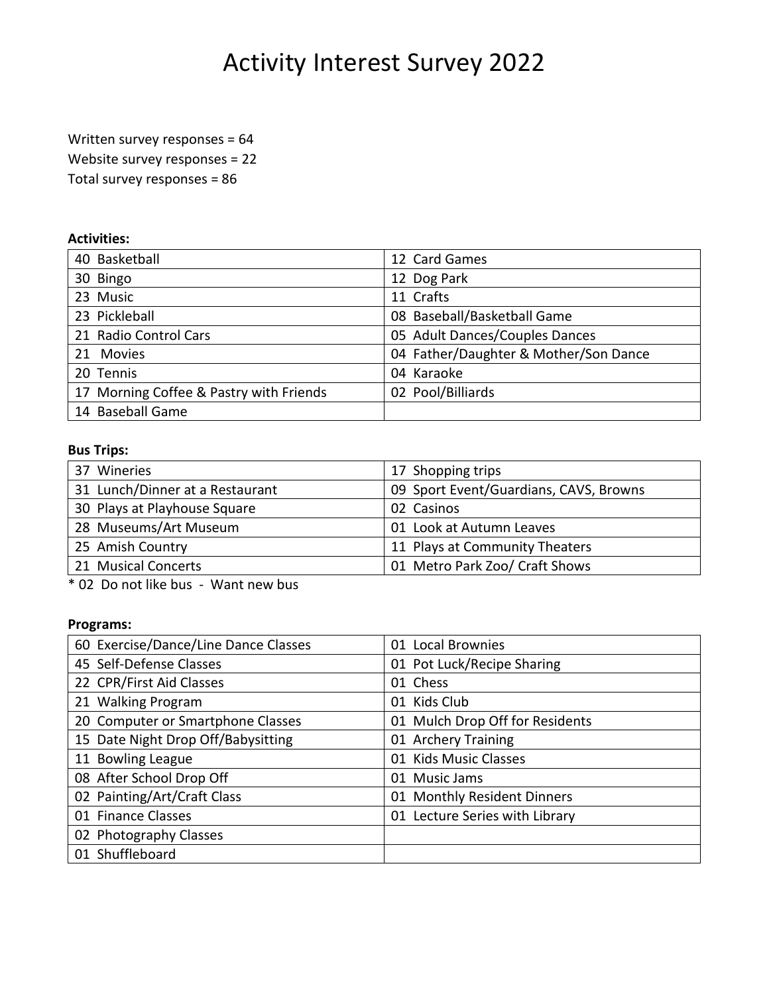Written survey responses = 64

Website survey responses = 22

Total survey responses = 86

#### **Activities:**

| 40 Basketball                           | 12 Card Games                         |
|-----------------------------------------|---------------------------------------|
| 30 Bingo                                | 12 Dog Park                           |
| 23 Music                                | 11 Crafts                             |
| 23 Pickleball                           | 08 Baseball/Basketball Game           |
| 21 Radio Control Cars                   | 05 Adult Dances/Couples Dances        |
| 21 Movies                               | 04 Father/Daughter & Mother/Son Dance |
| 20 Tennis                               | 04 Karaoke                            |
| 17 Morning Coffee & Pastry with Friends | 02 Pool/Billiards                     |
| 14 Baseball Game                        |                                       |

#### **Bus Trips:**

| 37 Wineries                     | 17 Shopping trips                      |
|---------------------------------|----------------------------------------|
| 31 Lunch/Dinner at a Restaurant | 09 Sport Event/Guardians, CAVS, Browns |
| 30 Plays at Playhouse Square    | 02 Casinos                             |
| 28 Museums/Art Museum           | 01 Look at Autumn Leaves               |
| 25 Amish Country                | 11 Plays at Community Theaters         |
| 21 Musical Concerts             | 01 Metro Park Zoo/ Craft Shows         |

\* 02 Do not like bus - Want new bus

#### **Programs:**

| 60 Exercise/Dance/Line Dance Classes | 01 Local Brownies               |
|--------------------------------------|---------------------------------|
| 45 Self-Defense Classes              | 01 Pot Luck/Recipe Sharing      |
| 22 CPR/First Aid Classes             | 01 Chess                        |
| 21 Walking Program                   | 01 Kids Club                    |
| 20 Computer or Smartphone Classes    | 01 Mulch Drop Off for Residents |
| 15 Date Night Drop Off/Babysitting   | 01 Archery Training             |
| 11 Bowling League                    | 01 Kids Music Classes           |
| 08 After School Drop Off             | <b>Music Jams</b><br>01         |
| 02 Painting/Art/Craft Class          | 01 Monthly Resident Dinners     |
| 01 Finance Classes                   | 01 Lecture Series with Library  |
| 02 Photography Classes               |                                 |
| 01 Shuffleboard                      |                                 |